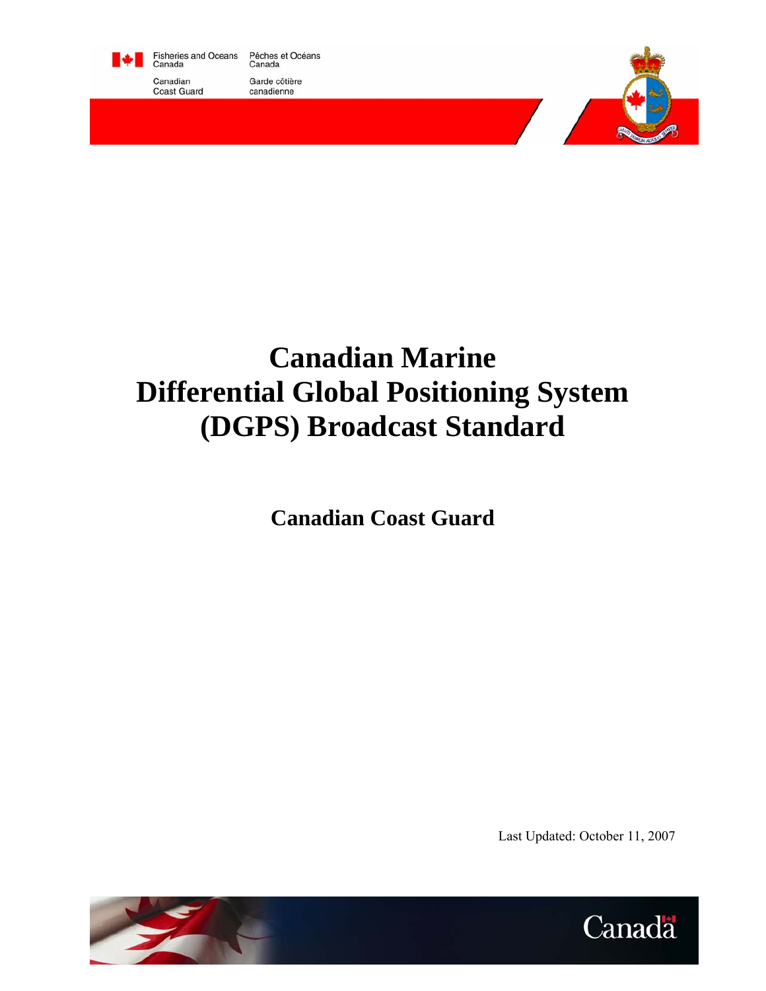

Fisheries and Oceans<br>Canada Pêches et Océans<br>Canada Canadian Garde côtière **Coast Guard** canadienne



# **Canadian Marine Differential Global Positioning System (DGPS) Broadcast Standard**

**Canadian Coast Guard** 

Last Updated: October 11, 2007



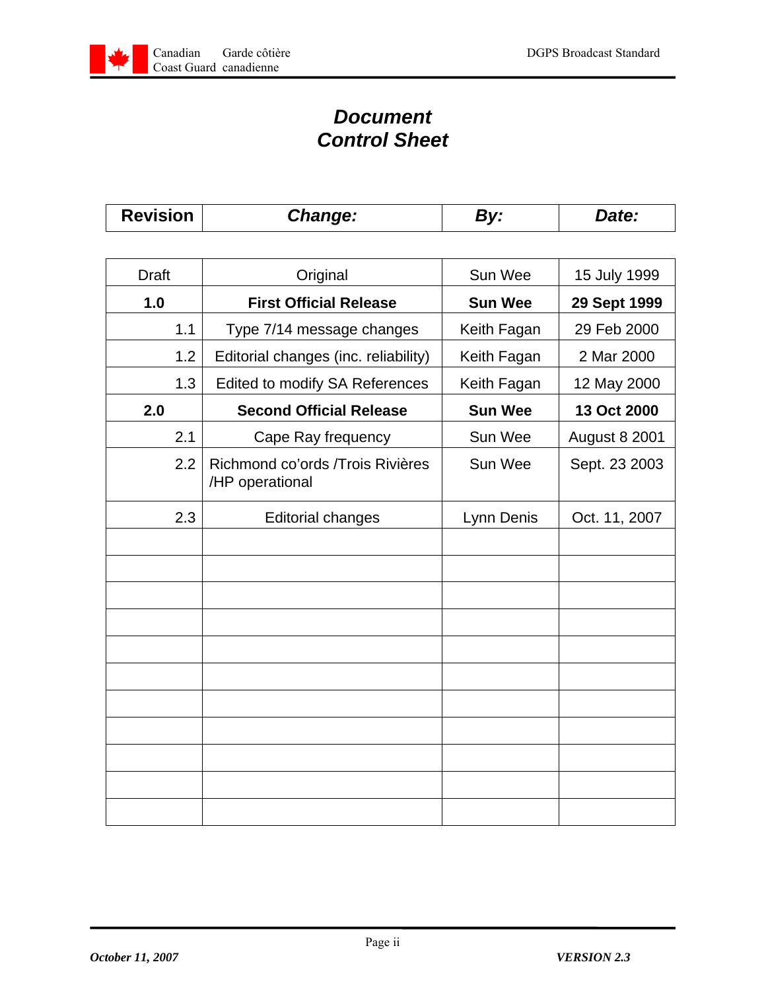

## *Document Control Sheet*

| <b>Revision</b> | <b>Change:</b> | BV. | <b>Date:</b> |
|-----------------|----------------|-----|--------------|
|                 |                |     |              |

| <b>Draft</b> | Original<br>Sun Wee                                  |                | 15 July 1999         |
|--------------|------------------------------------------------------|----------------|----------------------|
| 1.0          | <b>First Official Release</b>                        | <b>Sun Wee</b> | 29 Sept 1999         |
| 1.1          | Type 7/14 message changes                            | Keith Fagan    | 29 Feb 2000          |
| 1.2          | Editorial changes (inc. reliability)                 | Keith Fagan    | 2 Mar 2000           |
| 1.3          | Edited to modify SA References                       | Keith Fagan    | 12 May 2000          |
| 2.0          | <b>Second Official Release</b>                       | <b>Sun Wee</b> | 13 Oct 2000          |
| 2.1          | Cape Ray frequency                                   | Sun Wee        | <b>August 8 2001</b> |
| 2.2          | Richmond co'ords / Trois Rivières<br>/HP operational | Sun Wee        | Sept. 23 2003        |
| 2.3          | <b>Editorial changes</b>                             | Lynn Denis     | Oct. 11, 2007        |
|              |                                                      |                |                      |
|              |                                                      |                |                      |
|              |                                                      |                |                      |
|              |                                                      |                |                      |
|              |                                                      |                |                      |
|              |                                                      |                |                      |
|              |                                                      |                |                      |
|              |                                                      |                |                      |
|              |                                                      |                |                      |
|              |                                                      |                |                      |
|              |                                                      |                |                      |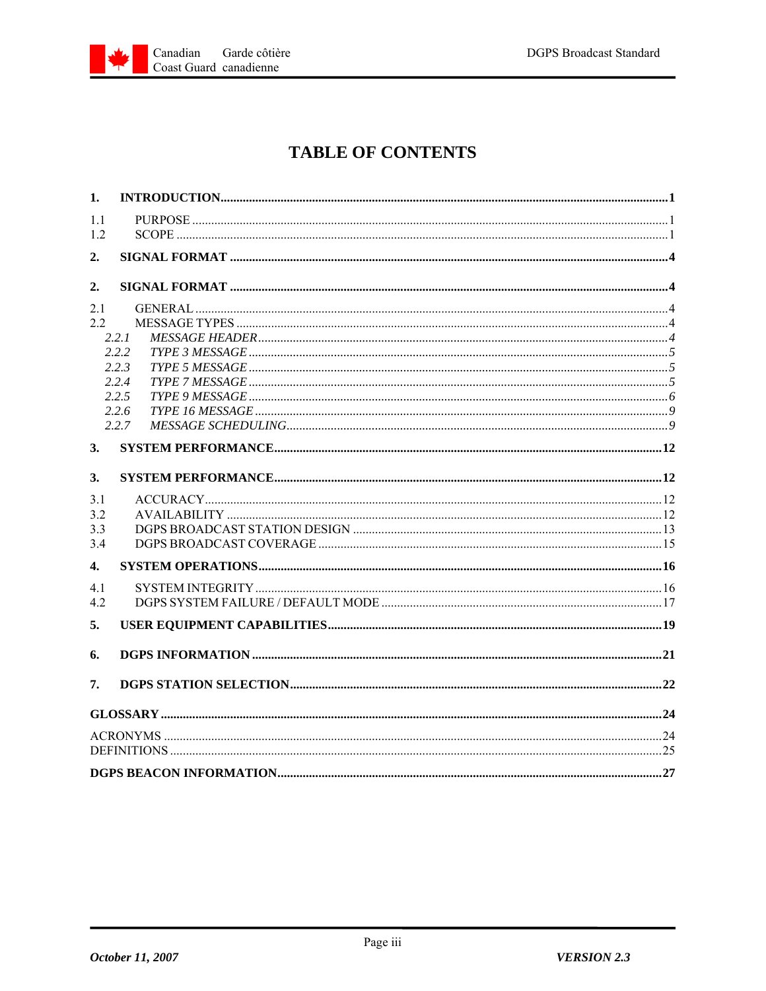

## **TABLE OF CONTENTS**

| 1.  |       |  |
|-----|-------|--|
| 1.1 |       |  |
| 12  |       |  |
| 2.  |       |  |
| 2.  |       |  |
| 2.1 |       |  |
| 22  |       |  |
|     | 2.2.1 |  |
|     | 2.2.2 |  |
|     | 2.2.3 |  |
|     | 2.2.4 |  |
|     | 2.2.5 |  |
|     | 2.2.6 |  |
|     | 2.2.7 |  |
| 3.  |       |  |
| 3.  |       |  |
| 3.1 |       |  |
| 3.2 |       |  |
| 3.3 |       |  |
| 3.4 |       |  |
| 4.  |       |  |
| 4.1 |       |  |
| 4.2 |       |  |
| 5.  |       |  |
| 6.  |       |  |
| 7.  |       |  |
|     |       |  |
|     |       |  |
|     |       |  |
|     |       |  |
|     |       |  |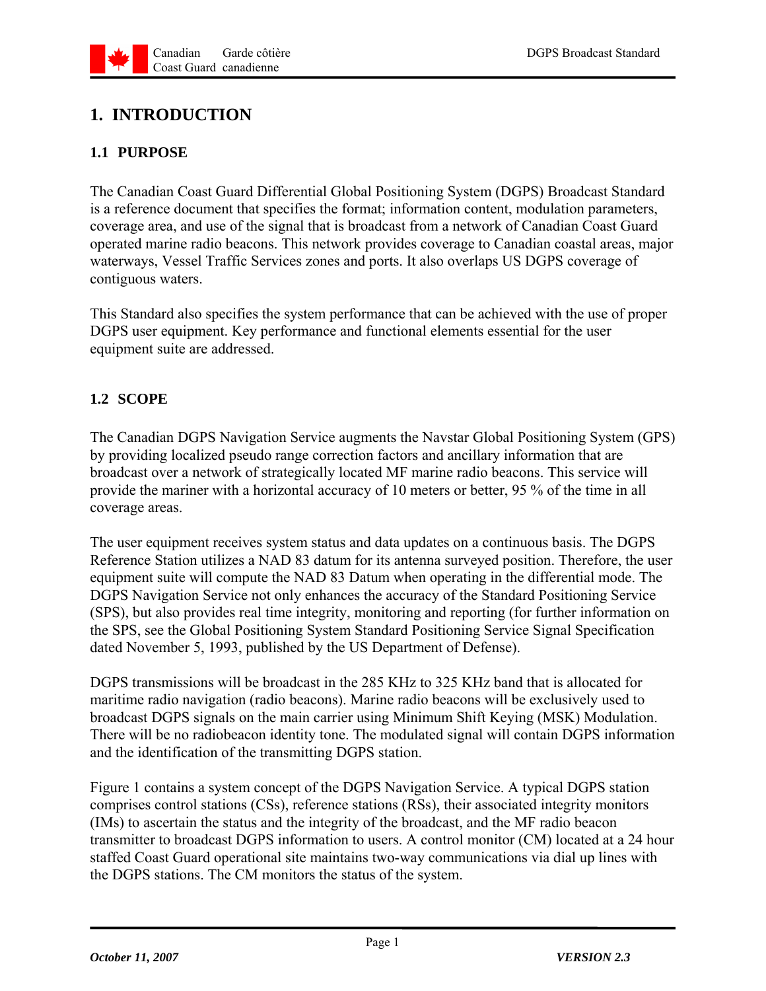## **1. INTRODUCTION**

#### **1.1 PURPOSE**

The Canadian Coast Guard Differential Global Positioning System (DGPS) Broadcast Standard is a reference document that specifies the format; information content, modulation parameters, coverage area, and use of the signal that is broadcast from a network of Canadian Coast Guard operated marine radio beacons. This network provides coverage to Canadian coastal areas, major waterways, Vessel Traffic Services zones and ports. It also overlaps US DGPS coverage of contiguous waters.

This Standard also specifies the system performance that can be achieved with the use of proper DGPS user equipment. Key performance and functional elements essential for the user equipment suite are addressed.

#### **1.2 SCOPE**

The Canadian DGPS Navigation Service augments the Navstar Global Positioning System (GPS) by providing localized pseudo range correction factors and ancillary information that are broadcast over a network of strategically located MF marine radio beacons. This service will provide the mariner with a horizontal accuracy of 10 meters or better, 95 % of the time in all coverage areas.

The user equipment receives system status and data updates on a continuous basis. The DGPS Reference Station utilizes a NAD 83 datum for its antenna surveyed position. Therefore, the user equipment suite will compute the NAD 83 Datum when operating in the differential mode. The DGPS Navigation Service not only enhances the accuracy of the Standard Positioning Service (SPS), but also provides real time integrity, monitoring and reporting (for further information on the SPS, see the Global Positioning System Standard Positioning Service Signal Specification dated November 5, 1993, published by the US Department of Defense).

DGPS transmissions will be broadcast in the 285 KHz to 325 KHz band that is allocated for maritime radio navigation (radio beacons). Marine radio beacons will be exclusively used to broadcast DGPS signals on the main carrier using Minimum Shift Keying (MSK) Modulation. There will be no radiobeacon identity tone. The modulated signal will contain DGPS information and the identification of the transmitting DGPS station.

Figure 1 contains a system concept of the DGPS Navigation Service. A typical DGPS station comprises control stations (CSs), reference stations (RSs), their associated integrity monitors (IMs) to ascertain the status and the integrity of the broadcast, and the MF radio beacon transmitter to broadcast DGPS information to users. A control monitor (CM) located at a 24 hour staffed Coast Guard operational site maintains two-way communications via dial up lines with the DGPS stations. The CM monitors the status of the system.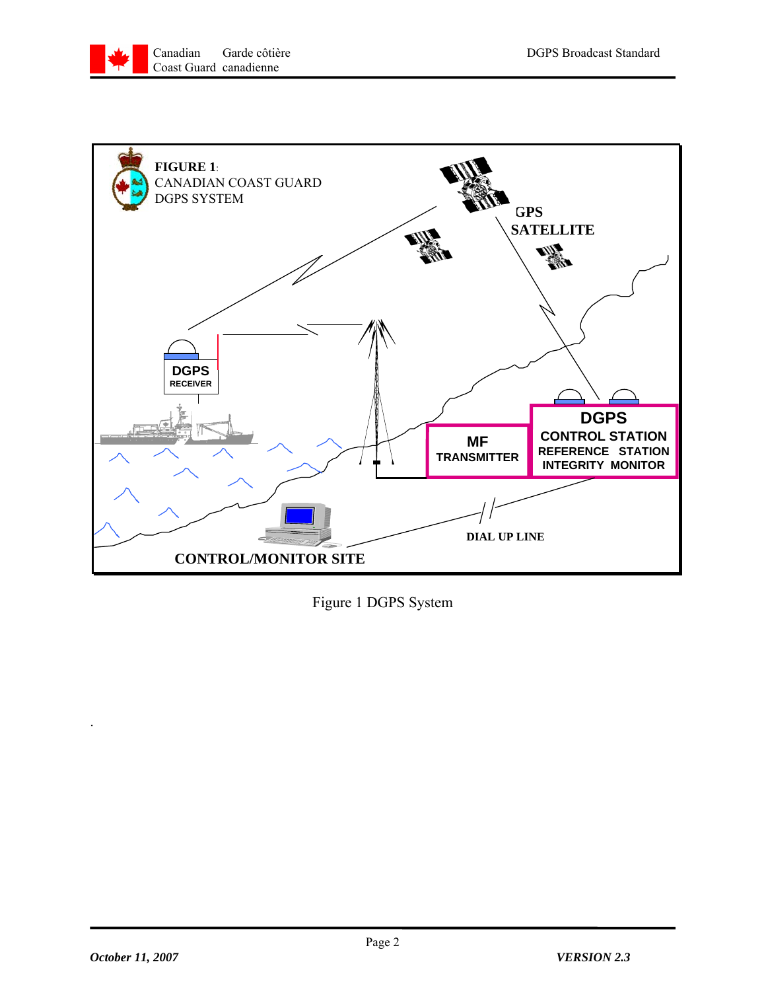

Figure 1 DGPS System

.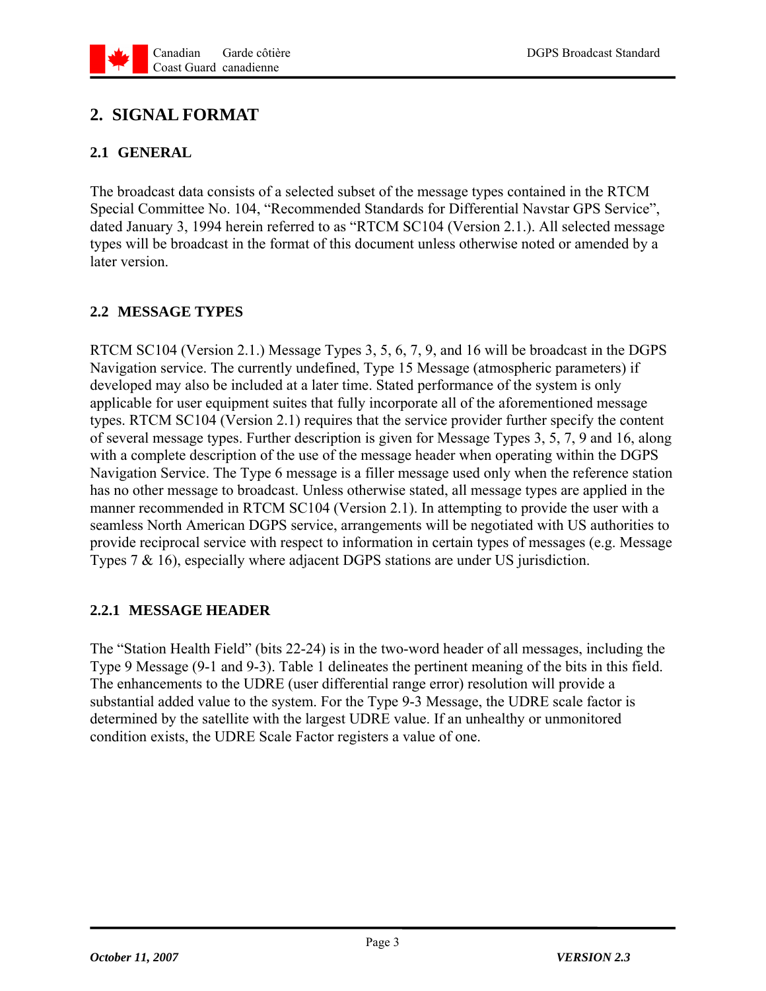### **2. SIGNAL FORMAT**

#### **2.1 GENERAL**

The broadcast data consists of a selected subset of the message types contained in the RTCM Special Committee No. 104, "Recommended Standards for Differential Navstar GPS Service", dated January 3, 1994 herein referred to as "RTCM SC104 (Version 2.1.). All selected message types will be broadcast in the format of this document unless otherwise noted or amended by a later version.

#### **2.2 MESSAGE TYPES**

RTCM SC104 (Version 2.1.) Message Types 3, 5, 6, 7, 9, and 16 will be broadcast in the DGPS Navigation service. The currently undefined, Type 15 Message (atmospheric parameters) if developed may also be included at a later time. Stated performance of the system is only applicable for user equipment suites that fully incorporate all of the aforementioned message types. RTCM SC104 (Version 2.1) requires that the service provider further specify the content of several message types. Further description is given for Message Types 3, 5, 7, 9 and 16, along with a complete description of the use of the message header when operating within the DGPS Navigation Service. The Type 6 message is a filler message used only when the reference station has no other message to broadcast. Unless otherwise stated, all message types are applied in the manner recommended in RTCM SC104 (Version 2.1). In attempting to provide the user with a seamless North American DGPS service, arrangements will be negotiated with US authorities to provide reciprocal service with respect to information in certain types of messages (e.g. Message Types 7 & 16), especially where adjacent DGPS stations are under US jurisdiction.

#### **2.2.1 MESSAGE HEADER**

The "Station Health Field" (bits 22-24) is in the two-word header of all messages, including the Type 9 Message (9-1 and 9-3). Table 1 delineates the pertinent meaning of the bits in this field. The enhancements to the UDRE (user differential range error) resolution will provide a substantial added value to the system. For the Type 9-3 Message, the UDRE scale factor is determined by the satellite with the largest UDRE value. If an unhealthy or unmonitored condition exists, the UDRE Scale Factor registers a value of one.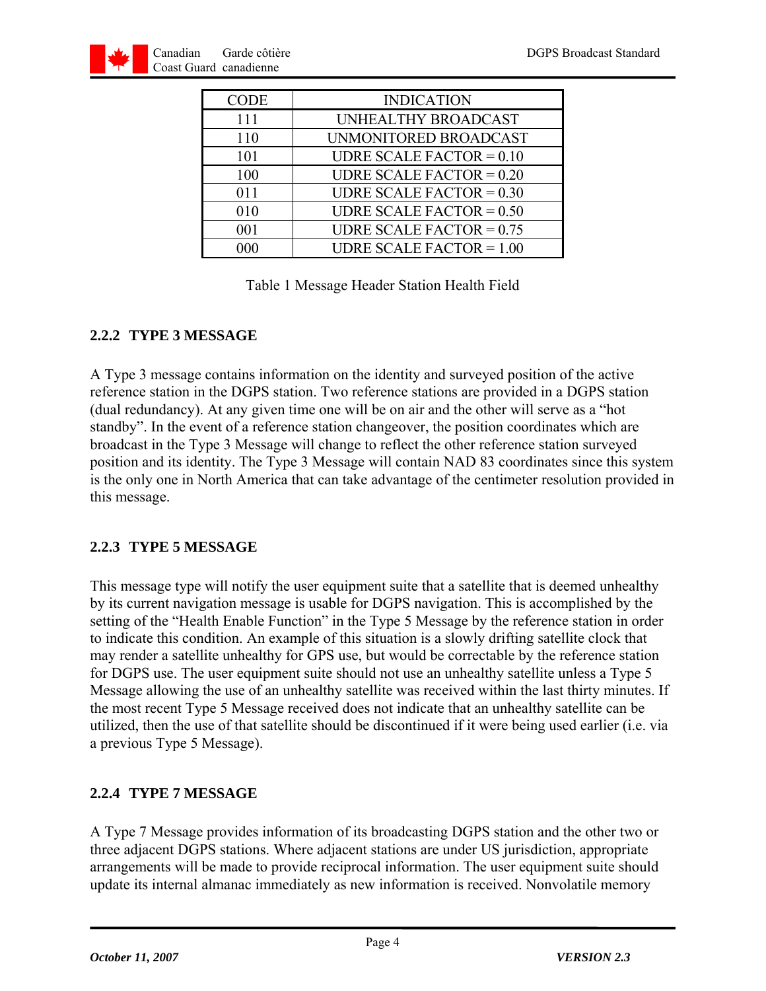| <b>CODE</b> | <b>INDICATION</b>          |
|-------------|----------------------------|
| 111         | UNHEALTHY BROADCAST        |
| 110         | UNMONITORED BROADCAST      |
| 101         | UDRE SCALE FACTOR $= 0.10$ |
| 100         | UDRE SCALE FACTOR $= 0.20$ |
| 011         | UDRE SCALE FACTOR $= 0.30$ |
| 010         | UDRE SCALE FACTOR $= 0.50$ |
| 001         | UDRE SCALE FACTOR = $0.75$ |
|             | UDRE SCALE FACTOR $= 1.00$ |

Table 1 Message Header Station Health Field

#### **2.2.2 TYPE 3 MESSAGE**

A Type 3 message contains information on the identity and surveyed position of the active reference station in the DGPS station. Two reference stations are provided in a DGPS station (dual redundancy). At any given time one will be on air and the other will serve as a "hot standby". In the event of a reference station changeover, the position coordinates which are broadcast in the Type 3 Message will change to reflect the other reference station surveyed position and its identity. The Type 3 Message will contain NAD 83 coordinates since this system is the only one in North America that can take advantage of the centimeter resolution provided in this message.

#### **2.2.3 TYPE 5 MESSAGE**

This message type will notify the user equipment suite that a satellite that is deemed unhealthy by its current navigation message is usable for DGPS navigation. This is accomplished by the setting of the "Health Enable Function" in the Type 5 Message by the reference station in order to indicate this condition. An example of this situation is a slowly drifting satellite clock that may render a satellite unhealthy for GPS use, but would be correctable by the reference station for DGPS use. The user equipment suite should not use an unhealthy satellite unless a Type 5 Message allowing the use of an unhealthy satellite was received within the last thirty minutes. If the most recent Type 5 Message received does not indicate that an unhealthy satellite can be utilized, then the use of that satellite should be discontinued if it were being used earlier (i.e. via a previous Type 5 Message).

#### **2.2.4 TYPE 7 MESSAGE**

A Type 7 Message provides information of its broadcasting DGPS station and the other two or three adjacent DGPS stations. Where adjacent stations are under US jurisdiction, appropriate arrangements will be made to provide reciprocal information. The user equipment suite should update its internal almanac immediately as new information is received. Nonvolatile memory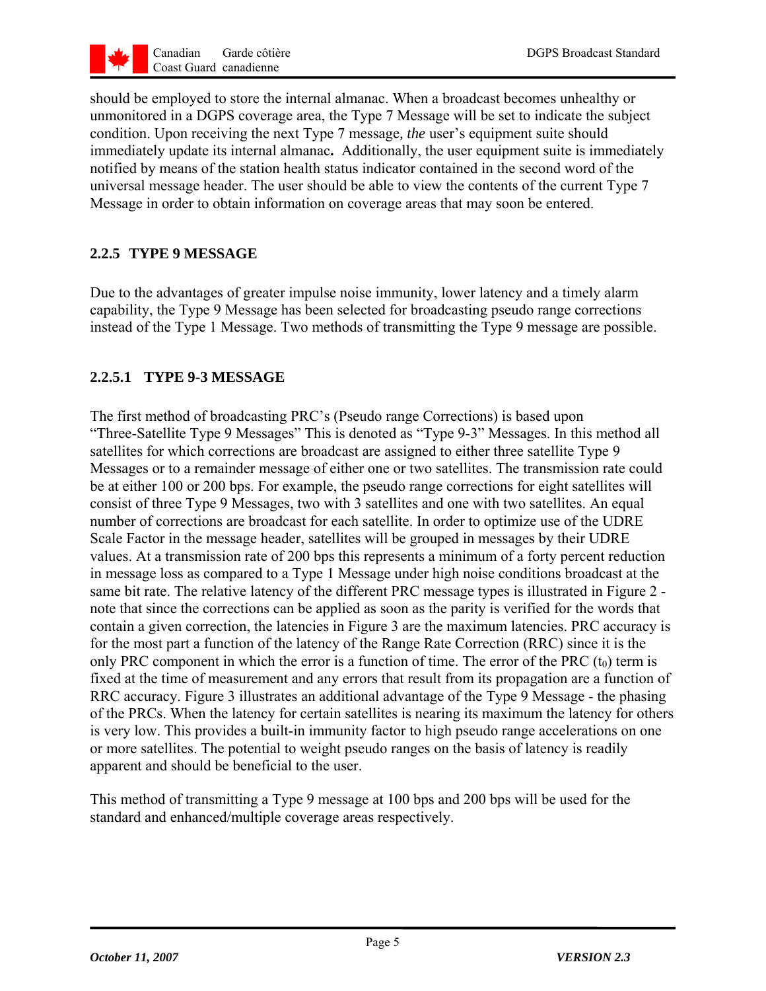should be employed to store the internal almanac. When a broadcast becomes unhealthy or unmonitored in a DGPS coverage area, the Type 7 Message will be set to indicate the subject condition. Upon receiving the next Type 7 message*, the* user's equipment suite should immediately update its internal almanac**.** Additionally, the user equipment suite is immediately notified by means of the station health status indicator contained in the second word of the universal message header. The user should be able to view the contents of the current Type 7 Message in order to obtain information on coverage areas that may soon be entered.

#### **2.2.5 TYPE 9 MESSAGE**

Due to the advantages of greater impulse noise immunity, lower latency and a timely alarm capability, the Type 9 Message has been selected for broadcasting pseudo range corrections instead of the Type 1 Message. Two methods of transmitting the Type 9 message are possible.

#### **2.2.5.1 TYPE 9-3 MESSAGE**

The first method of broadcasting PRC's (Pseudo range Corrections) is based upon "Three-Satellite Type 9 Messages" This is denoted as "Type 9-3" Messages. In this method all satellites for which corrections are broadcast are assigned to either three satellite Type 9 Messages or to a remainder message of either one or two satellites. The transmission rate could be at either 100 or 200 bps. For example, the pseudo range corrections for eight satellites will consist of three Type 9 Messages, two with 3 satellites and one with two satellites. An equal number of corrections are broadcast for each satellite. In order to optimize use of the UDRE Scale Factor in the message header, satellites will be grouped in messages by their UDRE values. At a transmission rate of 200 bps this represents a minimum of a forty percent reduction in message loss as compared to a Type 1 Message under high noise conditions broadcast at the same bit rate. The relative latency of the different PRC message types is illustrated in Figure 2 note that since the corrections can be applied as soon as the parity is verified for the words that contain a given correction, the latencies in Figure 3 are the maximum latencies. PRC accuracy is for the most part a function of the latency of the Range Rate Correction (RRC) since it is the only PRC component in which the error is a function of time. The error of the PRC  $(t_0)$  term is fixed at the time of measurement and any errors that result from its propagation are a function of RRC accuracy. Figure 3 illustrates an additional advantage of the Type 9 Message - the phasing of the PRCs. When the latency for certain satellites is nearing its maximum the latency for others is very low. This provides a built-in immunity factor to high pseudo range accelerations on one or more satellites. The potential to weight pseudo ranges on the basis of latency is readily apparent and should be beneficial to the user.

This method of transmitting a Type 9 message at 100 bps and 200 bps will be used for the standard and enhanced/multiple coverage areas respectively.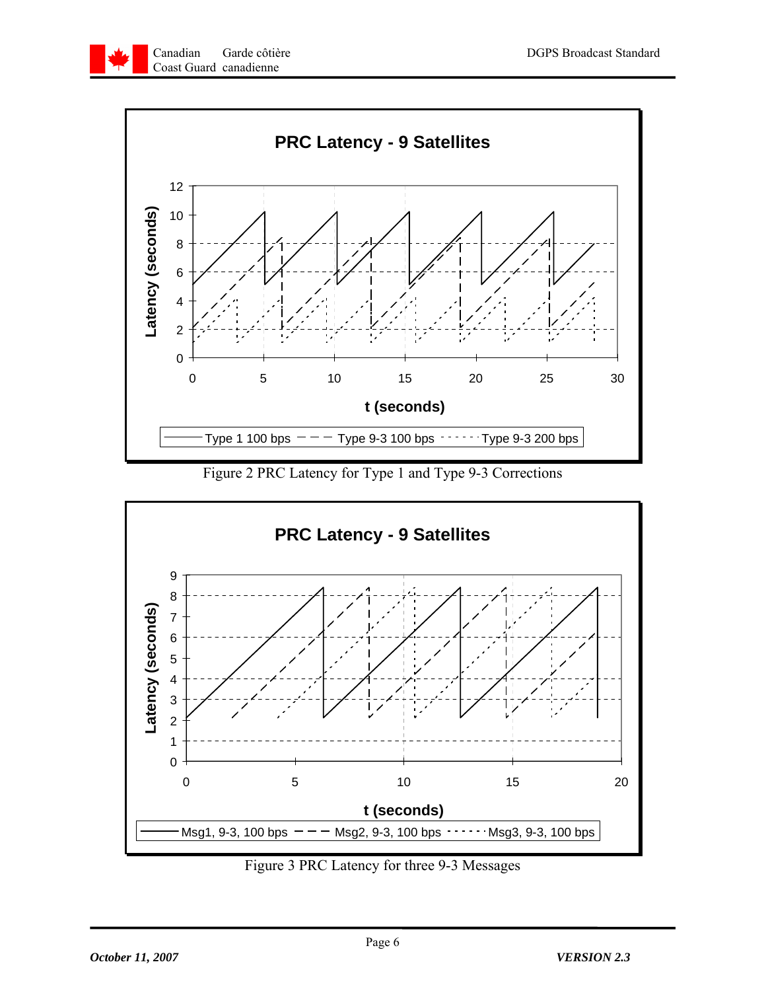

Figure 2 PRC Latency for Type 1 and Type 9-3 Corrections



Figure 3 PRC Latency for three 9-3 Messages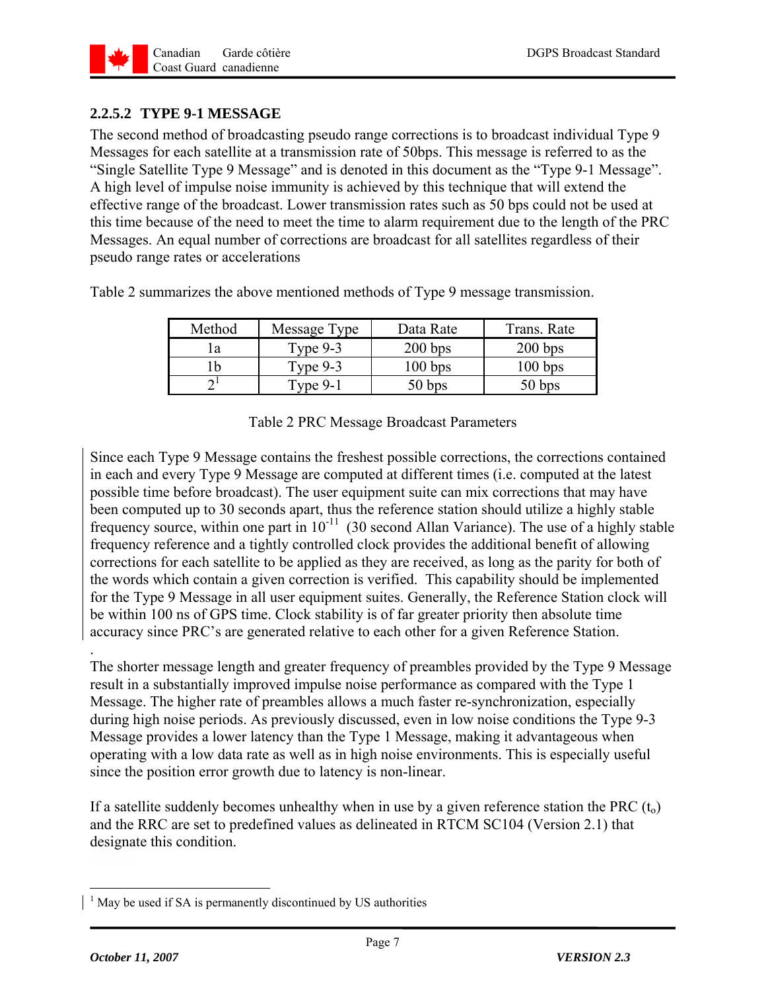#### **2.2.5.2 TYPE 9-1 MESSAGE**

The second method of broadcasting pseudo range corrections is to broadcast individual Type 9 Messages for each satellite at a transmission rate of 50bps. This message is referred to as the "Single Satellite Type 9 Message" and is denoted in this document as the "Type 9-1 Message". A high level of impulse noise immunity is achieved by this technique that will extend the effective range of the broadcast. Lower transmission rates such as 50 bps could not be used at this time because of the need to meet the time to alarm requirement due to the length of the PRC Messages. An equal number of corrections are broadcast for all satellites regardless of their pseudo range rates or accelerations

| Method | Message Type | Data Rate | Trans. Rate |
|--------|--------------|-----------|-------------|
| l a    | Type $9-3$   | 200 bps   | 200 bps     |
|        | Type $9-3$   | 100 bps   | 100 bps     |
|        | Type $9-1$   | 50 bps    | 50 bps      |

Table 2 summarizes the above mentioned methods of Type 9 message transmission.

Table 2 PRC Message Broadcast Parameters

Since each Type 9 Message contains the freshest possible corrections, the corrections contained in each and every Type 9 Message are computed at different times (i.e. computed at the latest possible time before broadcast). The user equipment suite can mix corrections that may have been computed up to 30 seconds apart, thus the reference station should utilize a highly stable frequency source, within one part in  $10^{-11}$  (30 second Allan Variance). The use of a highly stable frequency reference and a tightly controlled clock provides the additional benefit of allowing corrections for each satellite to be applied as they are received, as long as the parity for both of the words which contain a given correction is verified. This capability should be implemented for the Type 9 Message in all user equipment suites. Generally, the Reference Station clock will be within 100 ns of GPS time. Clock stability is of far greater priority then absolute time accuracy since PRC's are generated relative to each other for a given Reference Station.

The shorter message length and greater frequency of preambles provided by the Type 9 Message result in a substantially improved impulse noise performance as compared with the Type 1 Message. The higher rate of preambles allows a much faster re-synchronization, especially during high noise periods. As previously discussed, even in low noise conditions the Type 9-3 Message provides a lower latency than the Type 1 Message, making it advantageous when operating with a low data rate as well as in high noise environments. This is especially useful since the position error growth due to latency is non-linear.

If a satellite suddenly becomes unhealthy when in use by a given reference station the PRC  $(t_0)$ and the RRC are set to predefined values as delineated in RTCM SC104 (Version 2.1) that designate this condition.

.

 $\overline{a}$ 

<sup>&</sup>lt;sup>1</sup> May be used if SA is permanently discontinued by US authorities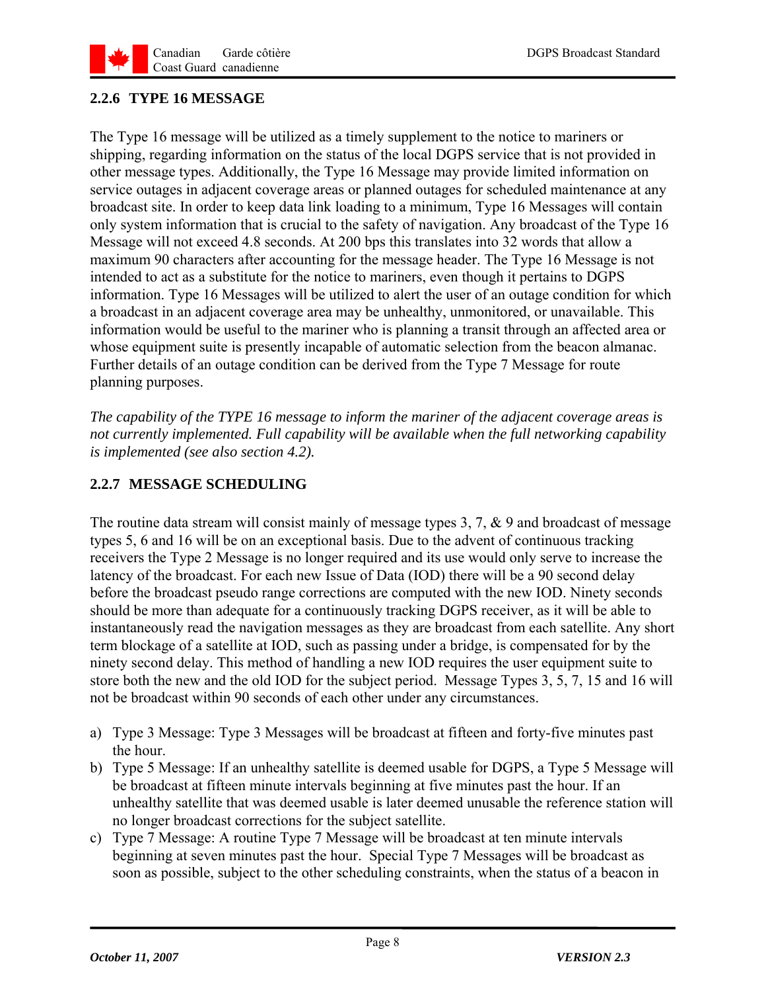#### **2.2.6 TYPE 16 MESSAGE**

The Type 16 message will be utilized as a timely supplement to the notice to mariners or shipping, regarding information on the status of the local DGPS service that is not provided in other message types. Additionally, the Type 16 Message may provide limited information on service outages in adjacent coverage areas or planned outages for scheduled maintenance at any broadcast site. In order to keep data link loading to a minimum, Type 16 Messages will contain only system information that is crucial to the safety of navigation. Any broadcast of the Type 16 Message will not exceed 4.8 seconds. At 200 bps this translates into 32 words that allow a maximum 90 characters after accounting for the message header. The Type 16 Message is not intended to act as a substitute for the notice to mariners, even though it pertains to DGPS information. Type 16 Messages will be utilized to alert the user of an outage condition for which a broadcast in an adjacent coverage area may be unhealthy, unmonitored, or unavailable. This information would be useful to the mariner who is planning a transit through an affected area or whose equipment suite is presently incapable of automatic selection from the beacon almanac. Further details of an outage condition can be derived from the Type 7 Message for route planning purposes.

*The capability of the TYPE 16 message to inform the mariner of the adjacent coverage areas is not currently implemented. Full capability will be available when the full networking capability is implemented (see also section 4.2).* 

#### **2.2.7 MESSAGE SCHEDULING**

The routine data stream will consist mainly of message types 3, 7, & 9 and broadcast of message types 5, 6 and 16 will be on an exceptional basis. Due to the advent of continuous tracking receivers the Type 2 Message is no longer required and its use would only serve to increase the latency of the broadcast. For each new Issue of Data (IOD) there will be a 90 second delay before the broadcast pseudo range corrections are computed with the new IOD. Ninety seconds should be more than adequate for a continuously tracking DGPS receiver, as it will be able to instantaneously read the navigation messages as they are broadcast from each satellite. Any short term blockage of a satellite at IOD, such as passing under a bridge, is compensated for by the ninety second delay. This method of handling a new IOD requires the user equipment suite to store both the new and the old IOD for the subject period. Message Types 3, 5, 7, 15 and 16 will not be broadcast within 90 seconds of each other under any circumstances.

- a) Type 3 Message: Type 3 Messages will be broadcast at fifteen and forty-five minutes past the hour.
- b) Type 5 Message: If an unhealthy satellite is deemed usable for DGPS, a Type 5 Message will be broadcast at fifteen minute intervals beginning at five minutes past the hour. If an unhealthy satellite that was deemed usable is later deemed unusable the reference station will no longer broadcast corrections for the subject satellite.
- c) Type 7 Message: A routine Type 7 Message will be broadcast at ten minute intervals beginning at seven minutes past the hour. Special Type 7 Messages will be broadcast as soon as possible, subject to the other scheduling constraints, when the status of a beacon in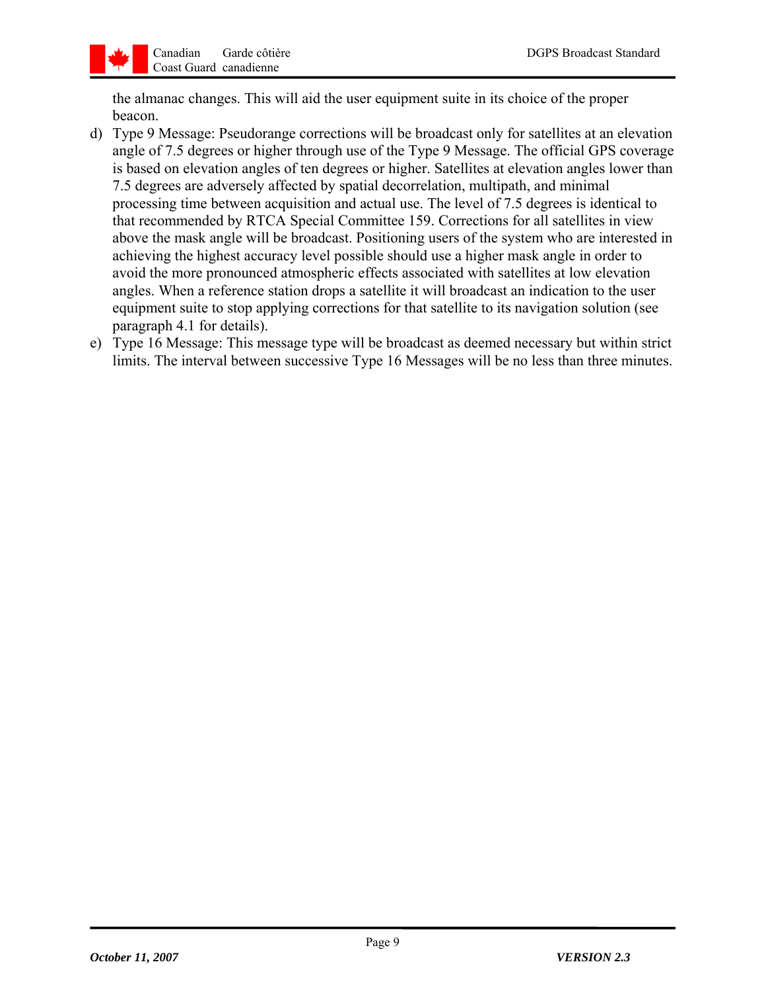the almanac changes. This will aid the user equipment suite in its choice of the proper beacon.

- d) Type 9 Message: Pseudorange corrections will be broadcast only for satellites at an elevation angle of 7.5 degrees or higher through use of the Type 9 Message. The official GPS coverage is based on elevation angles of ten degrees or higher. Satellites at elevation angles lower than 7.5 degrees are adversely affected by spatial decorrelation, multipath, and minimal processing time between acquisition and actual use. The level of 7.5 degrees is identical to that recommended by RTCA Special Committee 159. Corrections for all satellites in view above the mask angle will be broadcast. Positioning users of the system who are interested in achieving the highest accuracy level possible should use a higher mask angle in order to avoid the more pronounced atmospheric effects associated with satellites at low elevation angles. When a reference station drops a satellite it will broadcast an indication to the user equipment suite to stop applying corrections for that satellite to its navigation solution (see paragraph 4.1 for details).
- e) Type 16 Message: This message type will be broadcast as deemed necessary but within strict limits. The interval between successive Type 16 Messages will be no less than three minutes.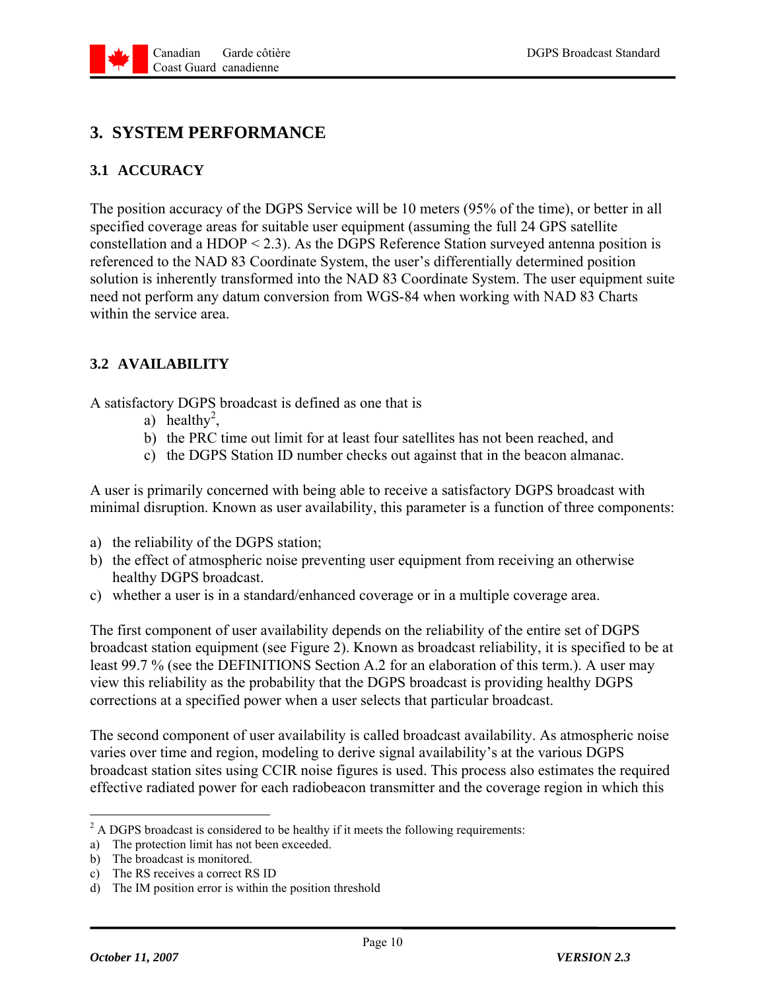### **3. SYSTEM PERFORMANCE**

#### **3.1 ACCURACY**

The position accuracy of the DGPS Service will be 10 meters (95% of the time), or better in all specified coverage areas for suitable user equipment (assuming the full 24 GPS satellite constellation and a HDOP < 2.3). As the DGPS Reference Station surveyed antenna position is referenced to the NAD 83 Coordinate System, the user's differentially determined position solution is inherently transformed into the NAD 83 Coordinate System. The user equipment suite need not perform any datum conversion from WGS-84 when working with NAD 83 Charts within the service area.

#### **3.2 AVAILABILITY**

A satisfactory DGPS broadcast is defined as one that is

- a) healthy<sup>2</sup>,
- b) the PRC time out limit for at least four satellites has not been reached, and
- c) the DGPS Station ID number checks out against that in the beacon almanac.

A user is primarily concerned with being able to receive a satisfactory DGPS broadcast with minimal disruption. Known as user availability, this parameter is a function of three components:

- a) the reliability of the DGPS station;
- b) the effect of atmospheric noise preventing user equipment from receiving an otherwise healthy DGPS broadcast.
- c) whether a user is in a standard/enhanced coverage or in a multiple coverage area.

The first component of user availability depends on the reliability of the entire set of DGPS broadcast station equipment (see Figure 2). Known as broadcast reliability, it is specified to be at least 99.7 % (see the DEFINITIONS Section A.2 for an elaboration of this term.). A user may view this reliability as the probability that the DGPS broadcast is providing healthy DGPS corrections at a specified power when a user selects that particular broadcast.

The second component of user availability is called broadcast availability. As atmospheric noise varies over time and region, modeling to derive signal availability's at the various DGPS broadcast station sites using CCIR noise figures is used. This process also estimates the required effective radiated power for each radiobeacon transmitter and the coverage region in which this

 $\overline{a}$ 

 $2^2$  A DGPS broadcast is considered to be healthy if it meets the following requirements:

a) The protection limit has not been exceeded.

b) The broadcast is monitored.

c) The RS receives a correct RS ID

d) The IM position error is within the position threshold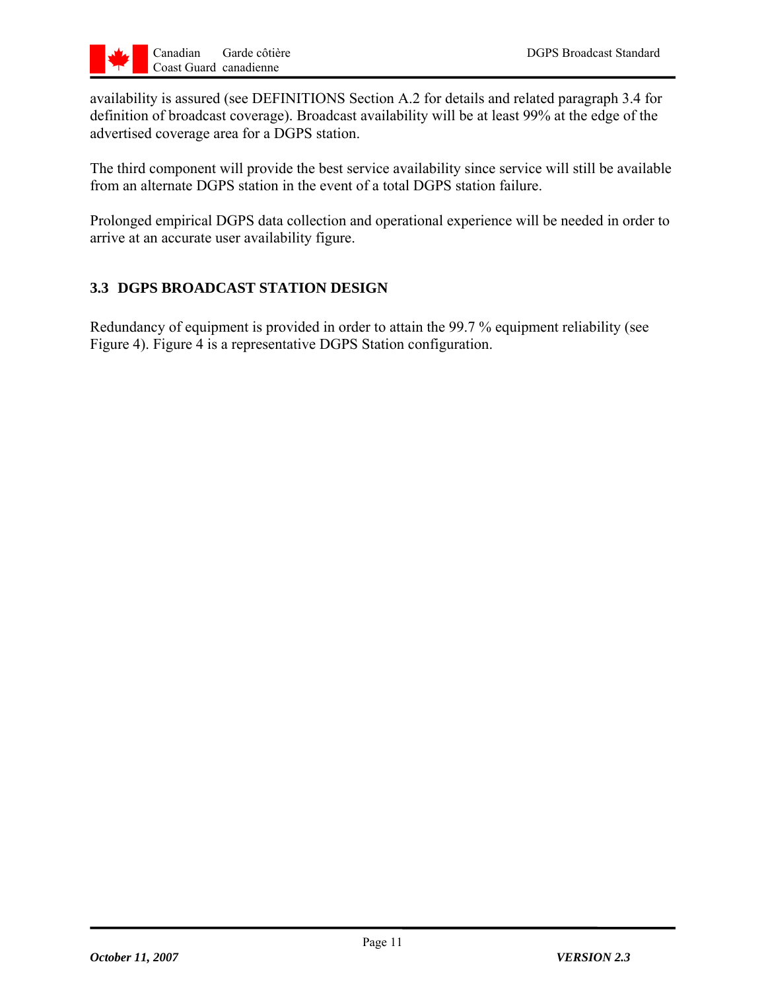availability is assured (see DEFINITIONS Section A.2 for details and related paragraph 3.4 for definition of broadcast coverage). Broadcast availability will be at least 99% at the edge of the advertised coverage area for a DGPS station.

The third component will provide the best service availability since service will still be available from an alternate DGPS station in the event of a total DGPS station failure.

Prolonged empirical DGPS data collection and operational experience will be needed in order to arrive at an accurate user availability figure.

#### **3.3 DGPS BROADCAST STATION DESIGN**

Redundancy of equipment is provided in order to attain the 99.7 % equipment reliability (see Figure 4). Figure 4 is a representative DGPS Station configuration.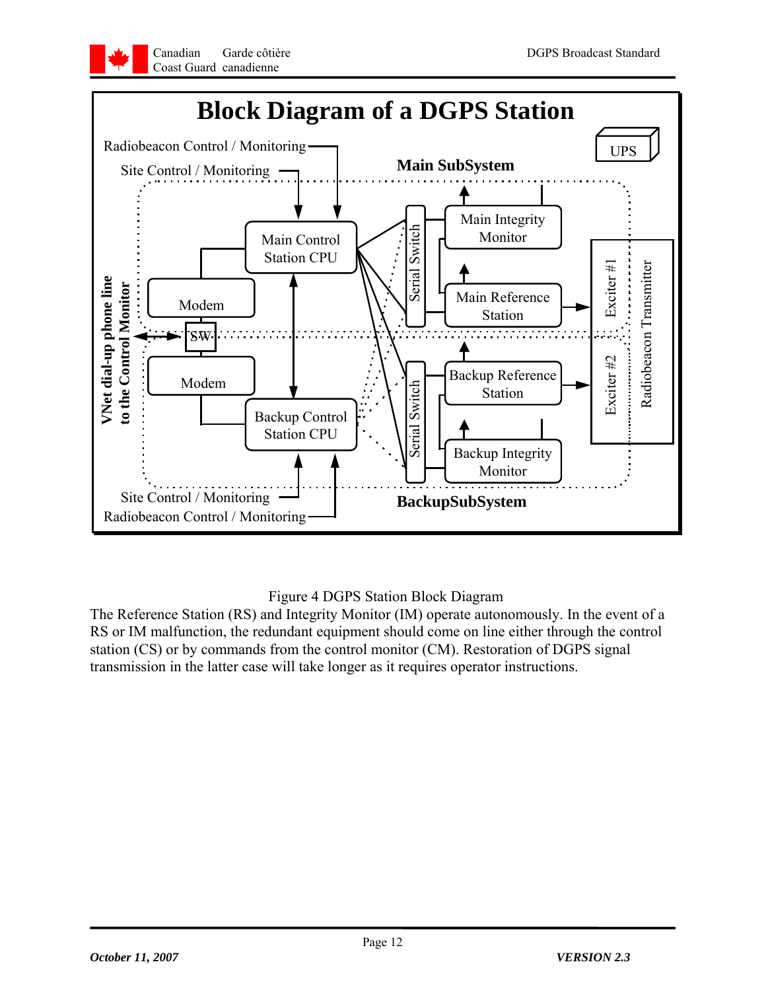

Figure 4 DGPS Station Block Diagram

The Reference Station (RS) and Integrity Monitor (IM) operate autonomously. In the event of a RS or IM malfunction, the redundant equipment should come on line either through the control station (CS) or by commands from the control monitor (CM). Restoration of DGPS signal transmission in the latter case will take longer as it requires operator instructions.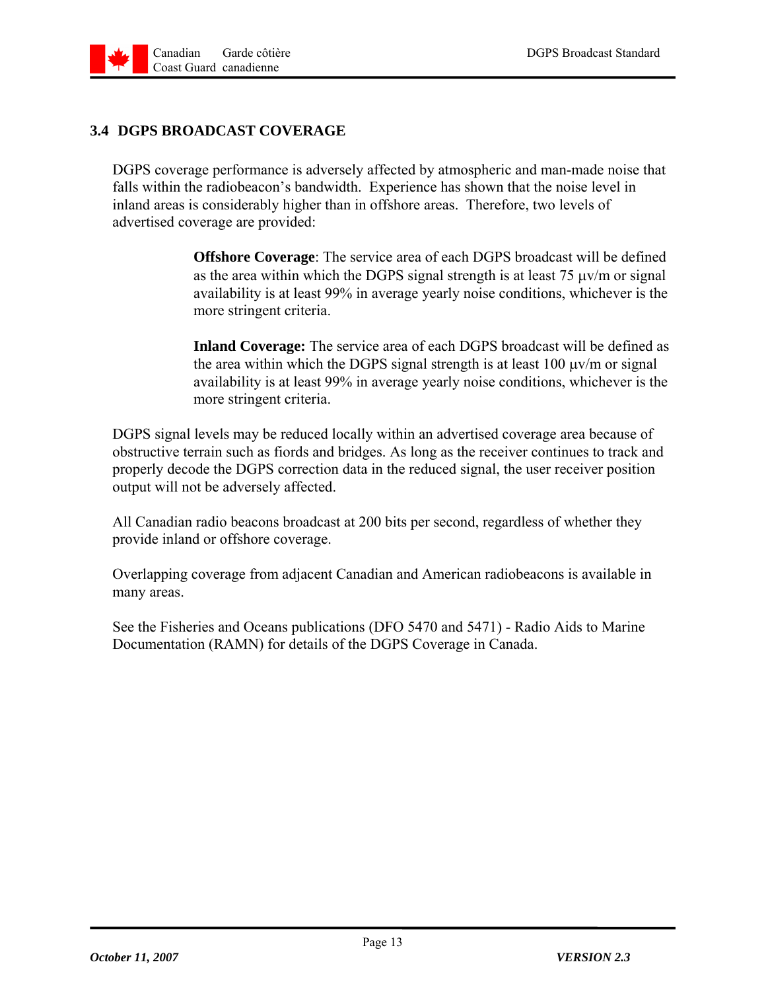#### **3.4 DGPS BROADCAST COVERAGE**

DGPS coverage performance is adversely affected by atmospheric and man-made noise that falls within the radiobeacon's bandwidth. Experience has shown that the noise level in inland areas is considerably higher than in offshore areas. Therefore, two levels of advertised coverage are provided:

> **Offshore Coverage**: The service area of each DGPS broadcast will be defined as the area within which the DGPS signal strength is at least  $75 \mu v/m$  or signal availability is at least 99% in average yearly noise conditions, whichever is the more stringent criteria.

> **Inland Coverage:** The service area of each DGPS broadcast will be defined as the area within which the DGPS signal strength is at least  $100 \mu v/m$  or signal availability is at least 99% in average yearly noise conditions, whichever is the more stringent criteria.

DGPS signal levels may be reduced locally within an advertised coverage area because of obstructive terrain such as fiords and bridges. As long as the receiver continues to track and properly decode the DGPS correction data in the reduced signal, the user receiver position output will not be adversely affected.

All Canadian radio beacons broadcast at 200 bits per second, regardless of whether they provide inland or offshore coverage.

Overlapping coverage from adjacent Canadian and American radiobeacons is available in many areas.

See the Fisheries and Oceans publications (DFO 5470 and 5471) - Radio Aids to Marine Documentation (RAMN) for details of the DGPS Coverage in Canada.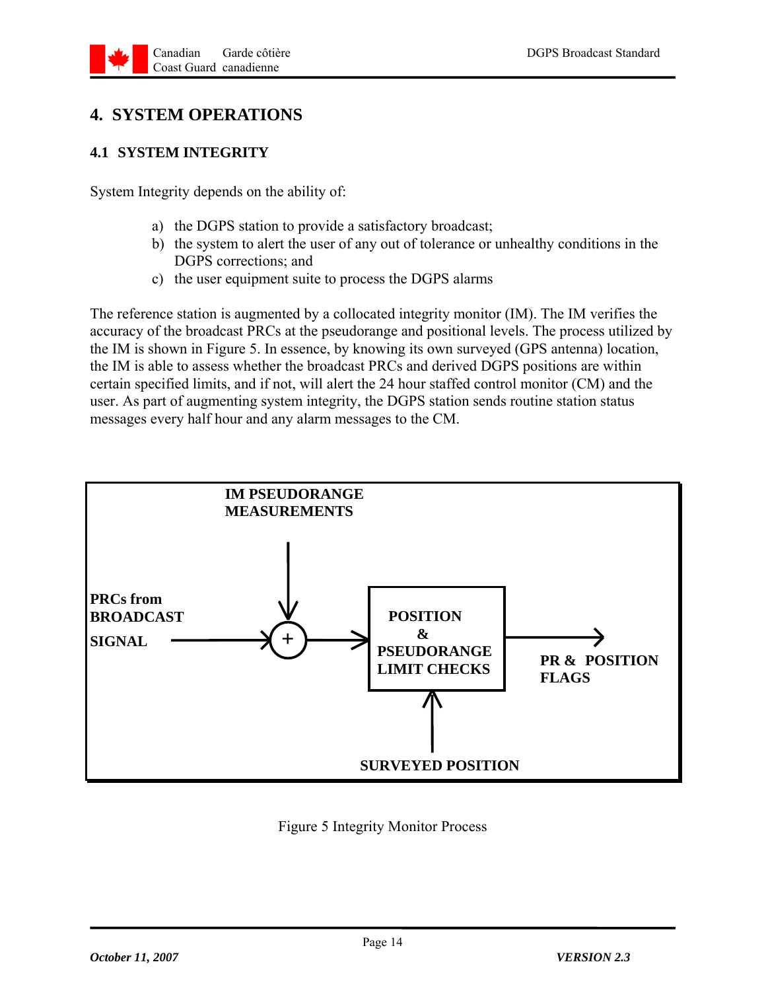### **4. SYSTEM OPERATIONS**

#### **4.1 SYSTEM INTEGRITY**

System Integrity depends on the ability of:

- a) the DGPS station to provide a satisfactory broadcast;
- b) the system to alert the user of any out of tolerance or unhealthy conditions in the DGPS corrections; and
- c) the user equipment suite to process the DGPS alarms

The reference station is augmented by a collocated integrity monitor (IM). The IM verifies the accuracy of the broadcast PRCs at the pseudorange and positional levels. The process utilized by the IM is shown in Figure 5. In essence, by knowing its own surveyed (GPS antenna) location, the IM is able to assess whether the broadcast PRCs and derived DGPS positions are within certain specified limits, and if not, will alert the 24 hour staffed control monitor (CM) and the user. As part of augmenting system integrity, the DGPS station sends routine station status messages every half hour and any alarm messages to the CM.



Figure 5 Integrity Monitor Process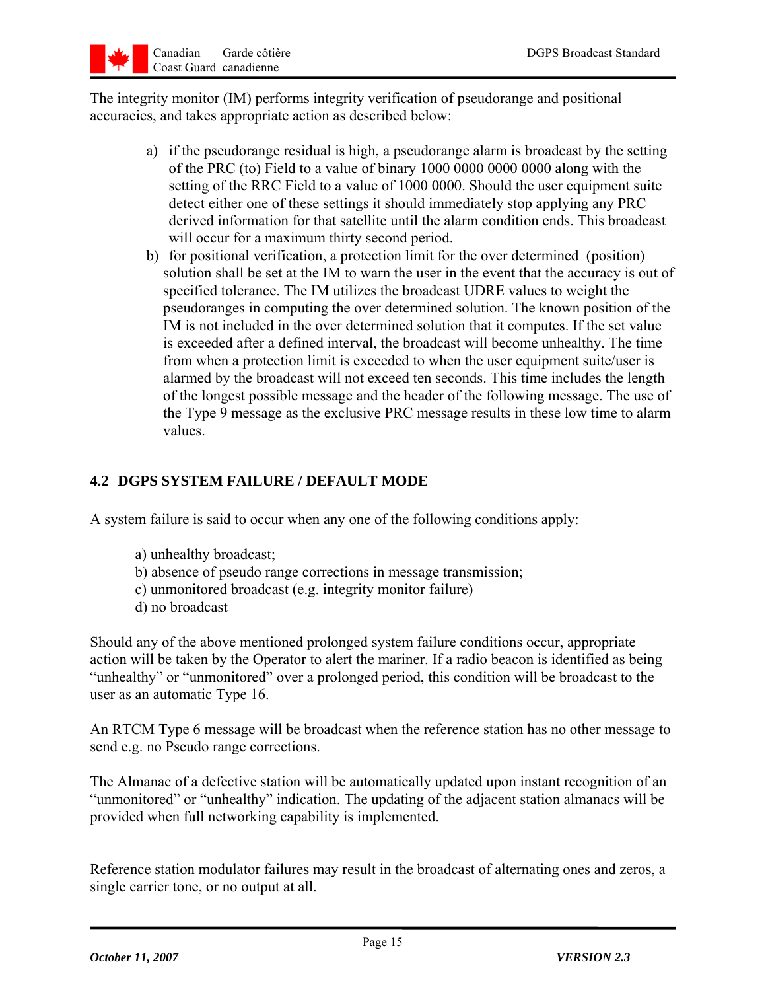The integrity monitor (IM) performs integrity verification of pseudorange and positional accuracies, and takes appropriate action as described below:

- a) if the pseudorange residual is high, a pseudorange alarm is broadcast by the setting of the PRC (to) Field to a value of binary 1000 0000 0000 0000 along with the setting of the RRC Field to a value of 1000 0000. Should the user equipment suite detect either one of these settings it should immediately stop applying any PRC derived information for that satellite until the alarm condition ends. This broadcast will occur for a maximum thirty second period.
- b) for positional verification, a protection limit for the over determined (position) solution shall be set at the IM to warn the user in the event that the accuracy is out of specified tolerance. The IM utilizes the broadcast UDRE values to weight the pseudoranges in computing the over determined solution. The known position of the IM is not included in the over determined solution that it computes. If the set value is exceeded after a defined interval, the broadcast will become unhealthy. The time from when a protection limit is exceeded to when the user equipment suite/user is alarmed by the broadcast will not exceed ten seconds. This time includes the length of the longest possible message and the header of the following message. The use of the Type 9 message as the exclusive PRC message results in these low time to alarm values.

#### **4.2 DGPS SYSTEM FAILURE / DEFAULT MODE**

A system failure is said to occur when any one of the following conditions apply:

- a) unhealthy broadcast;
- b) absence of pseudo range corrections in message transmission;
- c) unmonitored broadcast (e.g. integrity monitor failure)
- d) no broadcast

Should any of the above mentioned prolonged system failure conditions occur, appropriate action will be taken by the Operator to alert the mariner. If a radio beacon is identified as being "unhealthy" or "unmonitored" over a prolonged period, this condition will be broadcast to the user as an automatic Type 16.

An RTCM Type 6 message will be broadcast when the reference station has no other message to send e.g. no Pseudo range corrections.

The Almanac of a defective station will be automatically updated upon instant recognition of an "unmonitored" or "unhealthy" indication. The updating of the adjacent station almanacs will be provided when full networking capability is implemented.

Reference station modulator failures may result in the broadcast of alternating ones and zeros, a single carrier tone, or no output at all.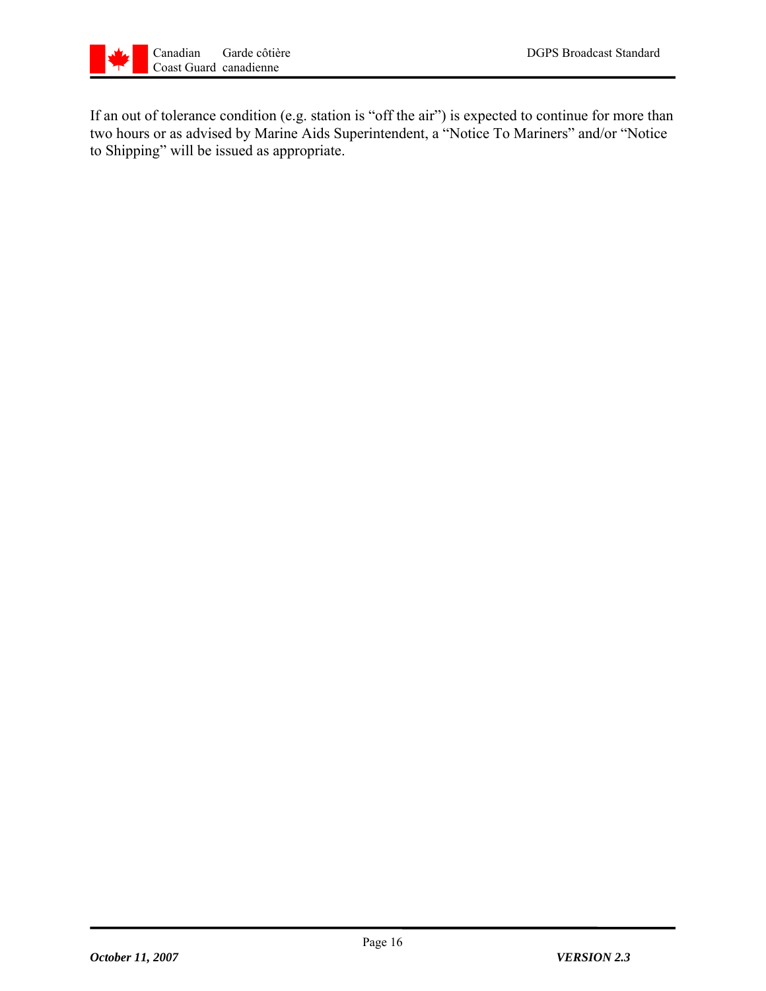If an out of tolerance condition (e.g. station is "off the air") is expected to continue for more than two hours or as advised by Marine Aids Superintendent, a "Notice To Mariners" and/or "Notice to Shipping" will be issued as appropriate.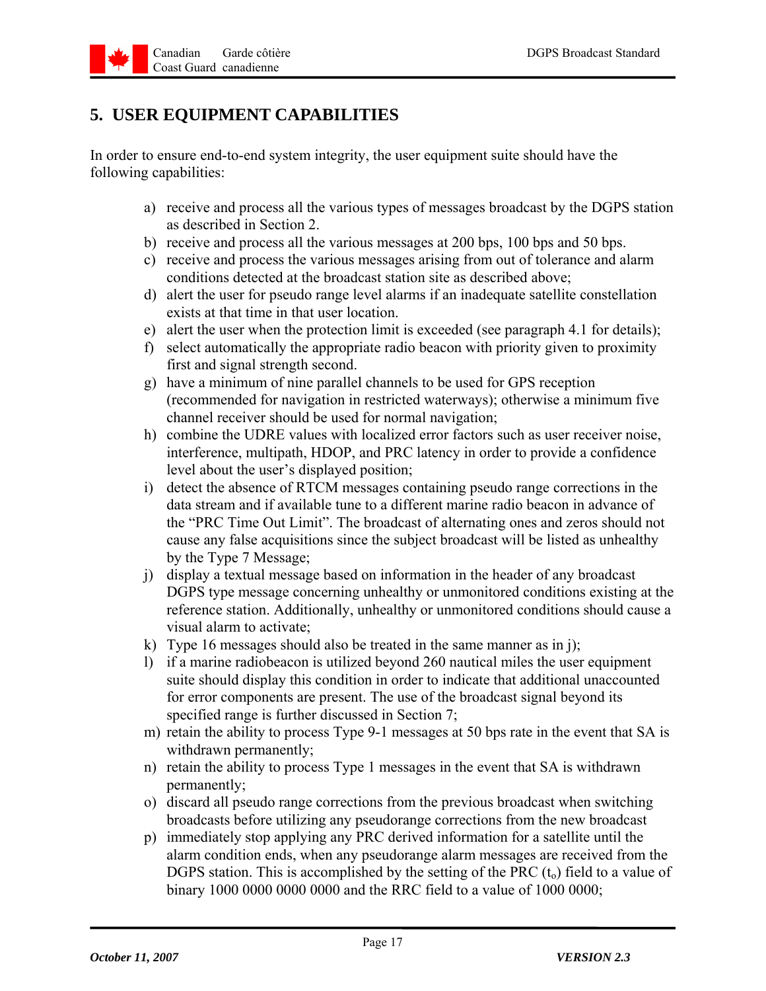## **5. USER EQUIPMENT CAPABILITIES**

In order to ensure end-to-end system integrity, the user equipment suite should have the following capabilities:

- a) receive and process all the various types of messages broadcast by the DGPS station as described in Section 2.
- b) receive and process all the various messages at 200 bps, 100 bps and 50 bps.
- c) receive and process the various messages arising from out of tolerance and alarm conditions detected at the broadcast station site as described above;
- d) alert the user for pseudo range level alarms if an inadequate satellite constellation exists at that time in that user location.
- e) alert the user when the protection limit is exceeded (see paragraph 4.1 for details);
- f) select automatically the appropriate radio beacon with priority given to proximity first and signal strength second.
- g) have a minimum of nine parallel channels to be used for GPS reception (recommended for navigation in restricted waterways); otherwise a minimum five channel receiver should be used for normal navigation;
- h) combine the UDRE values with localized error factors such as user receiver noise, interference, multipath, HDOP, and PRC latency in order to provide a confidence level about the user's displayed position;
- i) detect the absence of RTCM messages containing pseudo range corrections in the data stream and if available tune to a different marine radio beacon in advance of the "PRC Time Out Limit". The broadcast of alternating ones and zeros should not cause any false acquisitions since the subject broadcast will be listed as unhealthy by the Type 7 Message;
- j) display a textual message based on information in the header of any broadcast DGPS type message concerning unhealthy or unmonitored conditions existing at the reference station. Additionally, unhealthy or unmonitored conditions should cause a visual alarm to activate;
- k) Type 16 messages should also be treated in the same manner as in j);
- l) if a marine radiobeacon is utilized beyond 260 nautical miles the user equipment suite should display this condition in order to indicate that additional unaccounted for error components are present. The use of the broadcast signal beyond its specified range is further discussed in Section 7;
- m) retain the ability to process Type 9-1 messages at 50 bps rate in the event that SA is withdrawn permanently;
- n) retain the ability to process Type 1 messages in the event that SA is withdrawn permanently;
- o) discard all pseudo range corrections from the previous broadcast when switching broadcasts before utilizing any pseudorange corrections from the new broadcast
- p) immediately stop applying any PRC derived information for a satellite until the alarm condition ends, when any pseudorange alarm messages are received from the DGPS station. This is accomplished by the setting of the PRC  $(t_0)$  field to a value of binary 1000 0000 0000 0000 and the RRC field to a value of 1000 0000;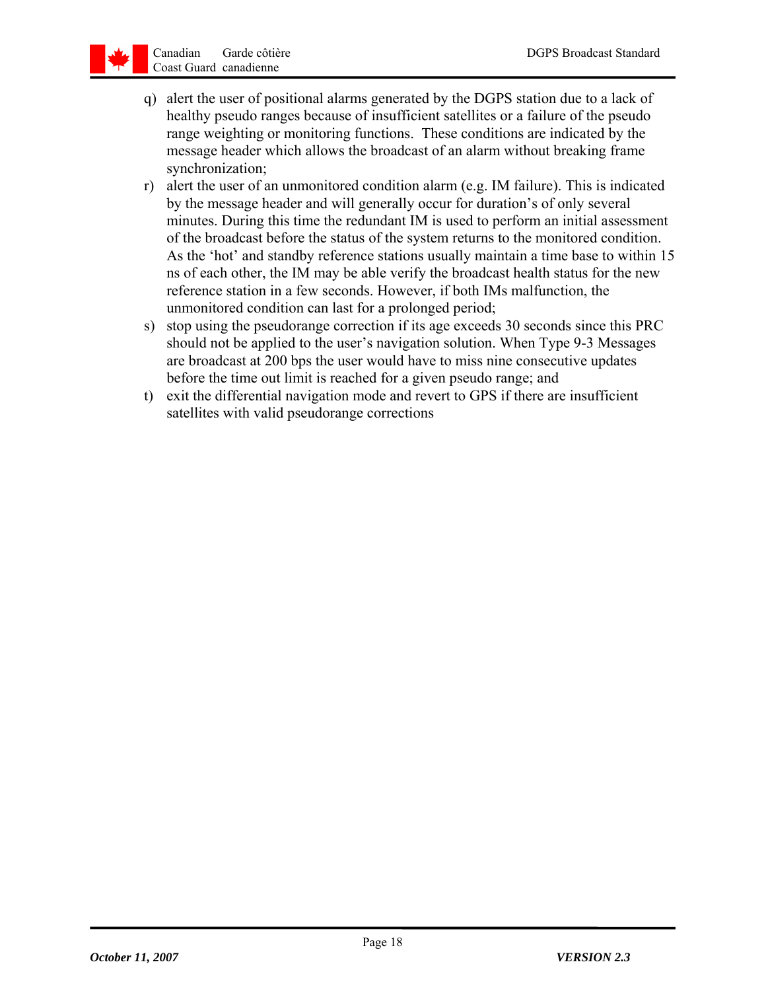- q) alert the user of positional alarms generated by the DGPS station due to a lack of healthy pseudo ranges because of insufficient satellites or a failure of the pseudo range weighting or monitoring functions. These conditions are indicated by the message header which allows the broadcast of an alarm without breaking frame synchronization;
- r) alert the user of an unmonitored condition alarm (e.g. IM failure). This is indicated by the message header and will generally occur for duration's of only several minutes. During this time the redundant IM is used to perform an initial assessment of the broadcast before the status of the system returns to the monitored condition. As the 'hot' and standby reference stations usually maintain a time base to within 15 ns of each other, the IM may be able verify the broadcast health status for the new reference station in a few seconds. However, if both IMs malfunction, the unmonitored condition can last for a prolonged period;
- s) stop using the pseudorange correction if its age exceeds 30 seconds since this PRC should not be applied to the user's navigation solution. When Type 9-3 Messages are broadcast at 200 bps the user would have to miss nine consecutive updates before the time out limit is reached for a given pseudo range; and
- t) exit the differential navigation mode and revert to GPS if there are insufficient satellites with valid pseudorange corrections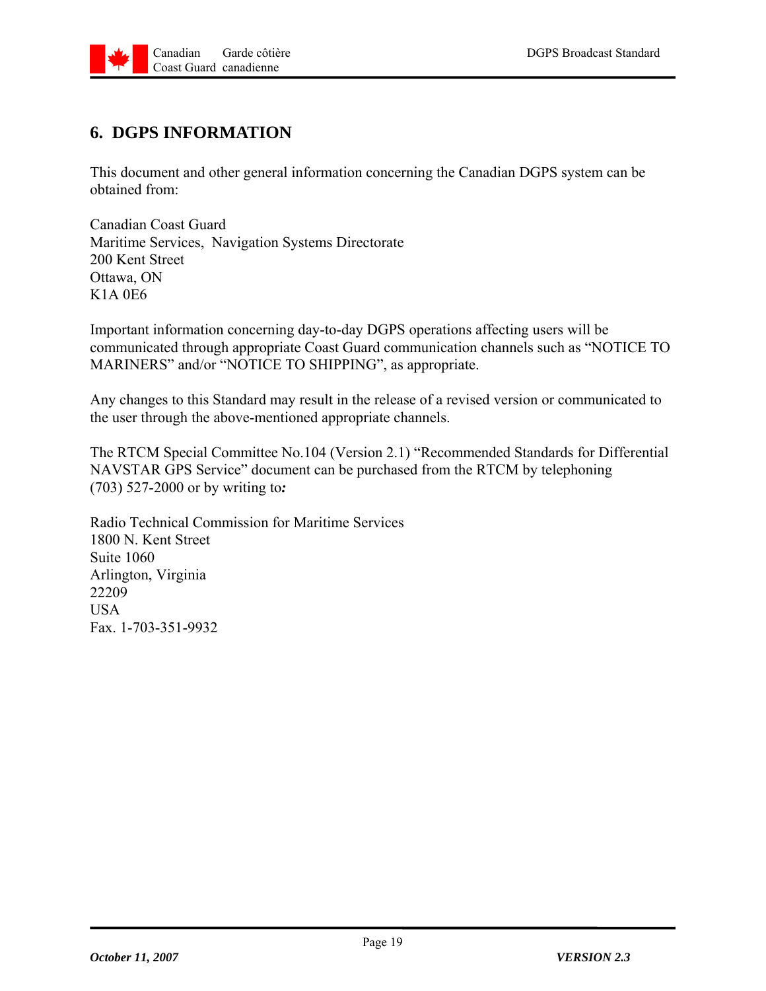### **6. DGPS INFORMATION**

This document and other general information concerning the Canadian DGPS system can be obtained from:

Canadian Coast Guard Maritime Services, Navigation Systems Directorate 200 Kent Street Ottawa, ON K1A 0E6

Important information concerning day-to-day DGPS operations affecting users will be communicated through appropriate Coast Guard communication channels such as "NOTICE TO MARINERS" and/or "NOTICE TO SHIPPING", as appropriate.

Any changes to this Standard may result in the release of a revised version or communicated to the user through the above-mentioned appropriate channels.

The RTCM Special Committee No.104 (Version 2.1) "Recommended Standards for Differential NAVSTAR GPS Service" document can be purchased from the RTCM by telephoning (703) 527-2000 or by writing to*:* 

Radio Technical Commission for Maritime Services 1800 N. Kent Street Suite 1060 Arlington, Virginia 22209 USA Fax. 1-703-351-9932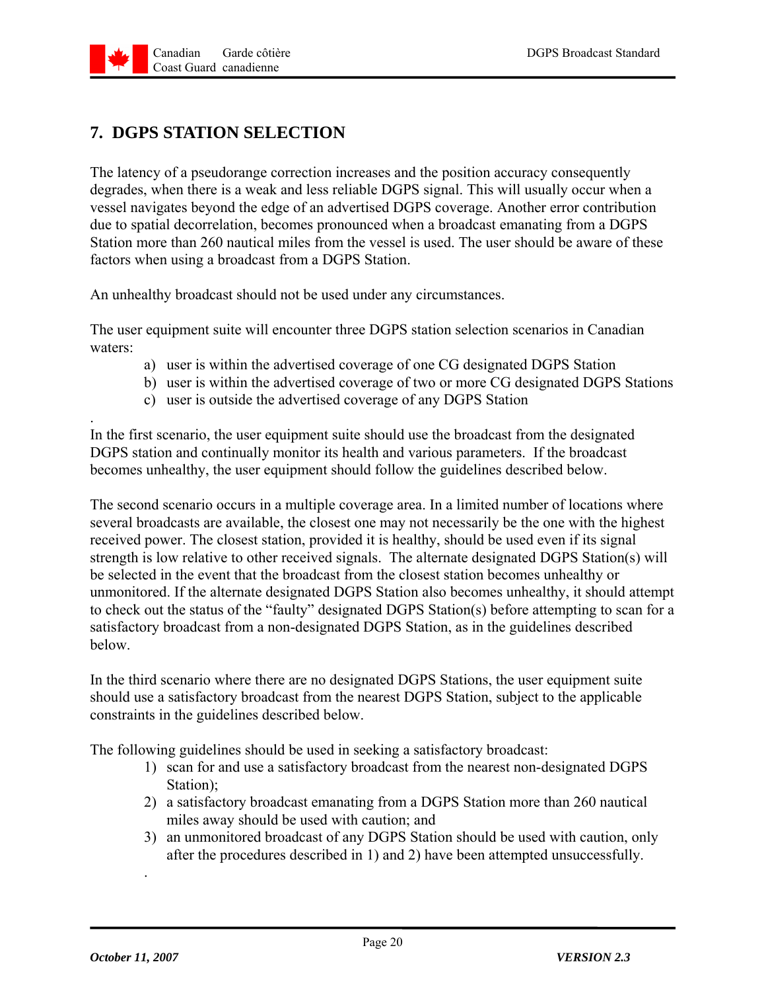### **7. DGPS STATION SELECTION**

The latency of a pseudorange correction increases and the position accuracy consequently degrades, when there is a weak and less reliable DGPS signal. This will usually occur when a vessel navigates beyond the edge of an advertised DGPS coverage. Another error contribution due to spatial decorrelation, becomes pronounced when a broadcast emanating from a DGPS Station more than 260 nautical miles from the vessel is used. The user should be aware of these factors when using a broadcast from a DGPS Station.

An unhealthy broadcast should not be used under any circumstances.

The user equipment suite will encounter three DGPS station selection scenarios in Canadian waters:

- a) user is within the advertised coverage of one CG designated DGPS Station
- b) user is within the advertised coverage of two or more CG designated DGPS Stations
- c) user is outside the advertised coverage of any DGPS Station

In the first scenario, the user equipment suite should use the broadcast from the designated DGPS station and continually monitor its health and various parameters. If the broadcast becomes unhealthy, the user equipment should follow the guidelines described below.

The second scenario occurs in a multiple coverage area. In a limited number of locations where several broadcasts are available, the closest one may not necessarily be the one with the highest received power. The closest station, provided it is healthy, should be used even if its signal strength is low relative to other received signals. The alternate designated DGPS Station(s) will be selected in the event that the broadcast from the closest station becomes unhealthy or unmonitored. If the alternate designated DGPS Station also becomes unhealthy, it should attempt to check out the status of the "faulty" designated DGPS Station(s) before attempting to scan for a satisfactory broadcast from a non-designated DGPS Station, as in the guidelines described below.

In the third scenario where there are no designated DGPS Stations, the user equipment suite should use a satisfactory broadcast from the nearest DGPS Station, subject to the applicable constraints in the guidelines described below.

The following guidelines should be used in seeking a satisfactory broadcast:

- 1) scan for and use a satisfactory broadcast from the nearest non-designated DGPS Station);
- 2) a satisfactory broadcast emanating from a DGPS Station more than 260 nautical miles away should be used with caution; and
- 3) an unmonitored broadcast of any DGPS Station should be used with caution, only after the procedures described in 1) and 2) have been attempted unsuccessfully.

.

.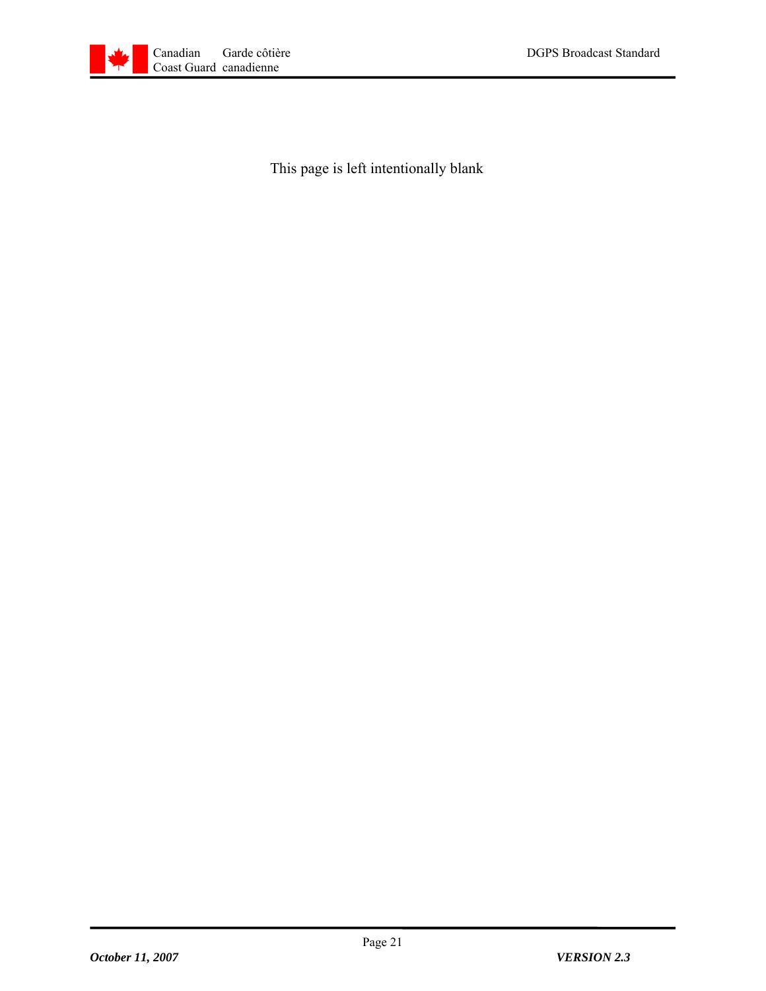

This page is left intentionally blank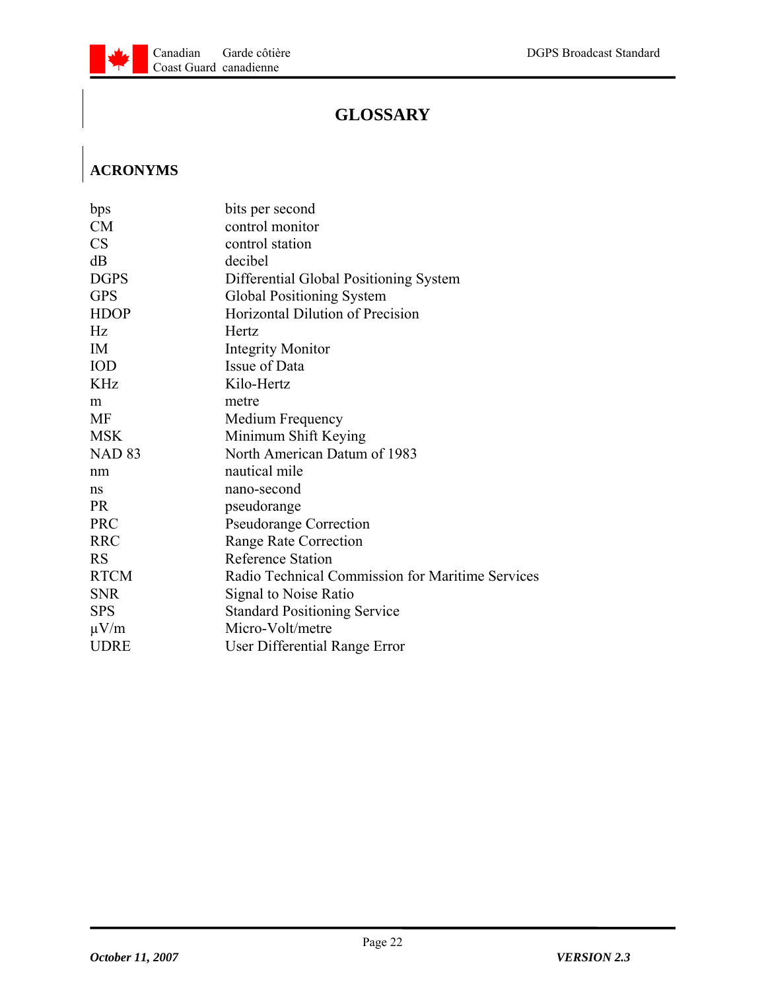

## **GLOSSARY**

## **ACRONYMS**

| bps           | bits per second                                  |
|---------------|--------------------------------------------------|
| <b>CM</b>     | control monitor                                  |
| <b>CS</b>     | control station                                  |
| dB            | decibel                                          |
| <b>DGPS</b>   | Differential Global Positioning System           |
| <b>GPS</b>    | Global Positioning System                        |
| <b>HDOP</b>   | Horizontal Dilution of Precision                 |
| Hz            | Hertz                                            |
| IM            | <b>Integrity Monitor</b>                         |
| <b>IOD</b>    | Issue of Data                                    |
| <b>KHz</b>    | Kilo-Hertz                                       |
| m             | metre                                            |
| <b>MF</b>     | Medium Frequency                                 |
| <b>MSK</b>    | Minimum Shift Keying                             |
| <b>NAD 83</b> | North American Datum of 1983                     |
| nm            | nautical mile                                    |
| ns            | nano-second                                      |
| <b>PR</b>     | pseudorange                                      |
| <b>PRC</b>    | Pseudorange Correction                           |
| <b>RRC</b>    | <b>Range Rate Correction</b>                     |
| <b>RS</b>     | <b>Reference Station</b>                         |
| <b>RTCM</b>   | Radio Technical Commission for Maritime Services |
| <b>SNR</b>    | Signal to Noise Ratio                            |
| <b>SPS</b>    | <b>Standard Positioning Service</b>              |
| $\mu V/m$     | Micro-Volt/metre                                 |
| <b>UDRE</b>   | User Differential Range Error                    |
|               |                                                  |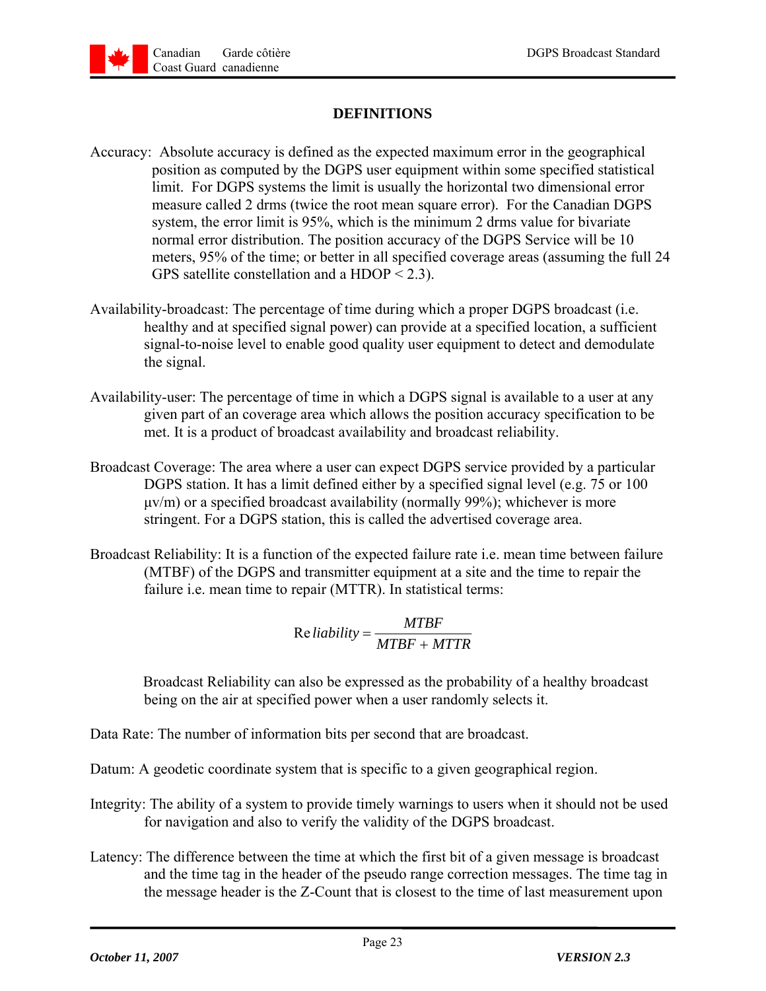#### **DEFINITIONS**

- Accuracy: Absolute accuracy is defined as the expected maximum error in the geographical position as computed by the DGPS user equipment within some specified statistical limit. For DGPS systems the limit is usually the horizontal two dimensional error measure called 2 drms (twice the root mean square error). For the Canadian DGPS system, the error limit is 95%, which is the minimum 2 drms value for bivariate normal error distribution. The position accuracy of the DGPS Service will be 10 meters, 95% of the time; or better in all specified coverage areas (assuming the full 24 GPS satellite constellation and a  $HDOP < 2.3$ ).
- Availability-broadcast: The percentage of time during which a proper DGPS broadcast (i.e. healthy and at specified signal power) can provide at a specified location, a sufficient signal-to-noise level to enable good quality user equipment to detect and demodulate the signal.
- Availability-user: The percentage of time in which a DGPS signal is available to a user at any given part of an coverage area which allows the position accuracy specification to be met. It is a product of broadcast availability and broadcast reliability.
- Broadcast Coverage: The area where a user can expect DGPS service provided by a particular DGPS station. It has a limit defined either by a specified signal level (e.g. 75 or 100 μv/m) or a specified broadcast availability (normally 99%); whichever is more stringent. For a DGPS station, this is called the advertised coverage area.
- Broadcast Reliability: It is a function of the expected failure rate i.e. mean time between failure (MTBF) of the DGPS and transmitter equipment at a site and the time to repair the failure i.e. mean time to repair (MTTR). In statistical terms:

 $Re$  *liability* =  $\frac{MTBF}{MTBF + MTTR}$ 

Broadcast Reliability can also be expressed as the probability of a healthy broadcast being on the air at specified power when a user randomly selects it.

Data Rate: The number of information bits per second that are broadcast.

Datum: A geodetic coordinate system that is specific to a given geographical region.

- Integrity: The ability of a system to provide timely warnings to users when it should not be used for navigation and also to verify the validity of the DGPS broadcast.
- Latency: The difference between the time at which the first bit of a given message is broadcast and the time tag in the header of the pseudo range correction messages. The time tag in the message header is the Z-Count that is closest to the time of last measurement upon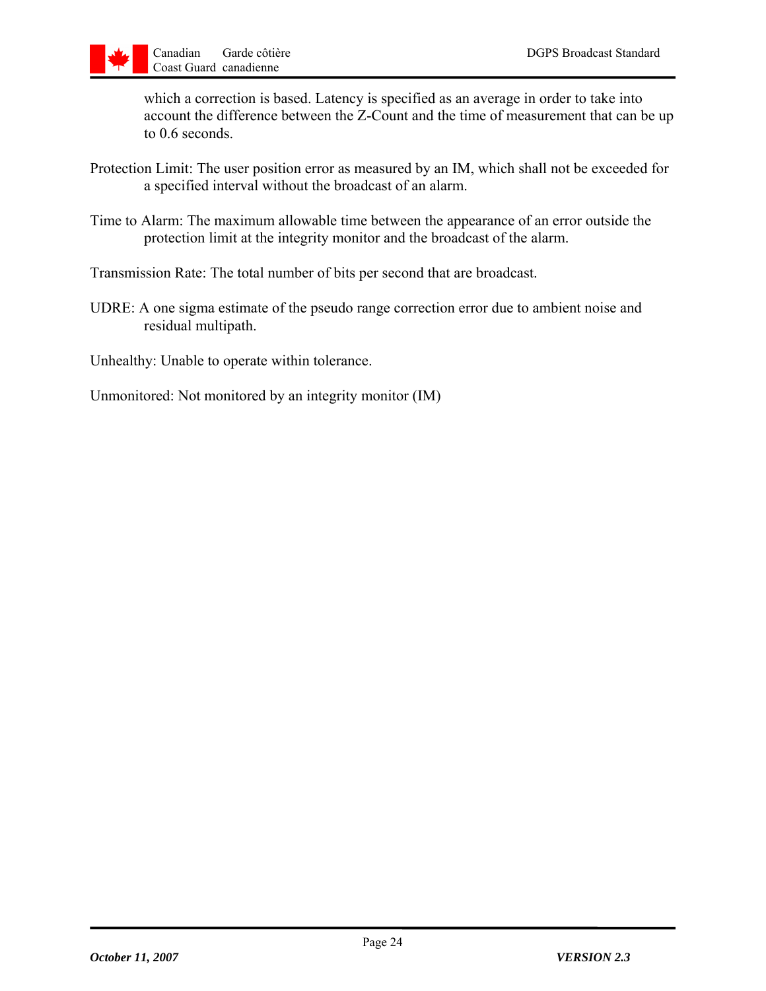which a correction is based. Latency is specified as an average in order to take into account the difference between the Z-Count and the time of measurement that can be up to 0.6 seconds.

- Protection Limit: The user position error as measured by an IM, which shall not be exceeded for a specified interval without the broadcast of an alarm.
- Time to Alarm: The maximum allowable time between the appearance of an error outside the protection limit at the integrity monitor and the broadcast of the alarm.

Transmission Rate: The total number of bits per second that are broadcast.

UDRE: A one sigma estimate of the pseudo range correction error due to ambient noise and residual multipath.

Unhealthy: Unable to operate within tolerance.

Unmonitored: Not monitored by an integrity monitor (IM)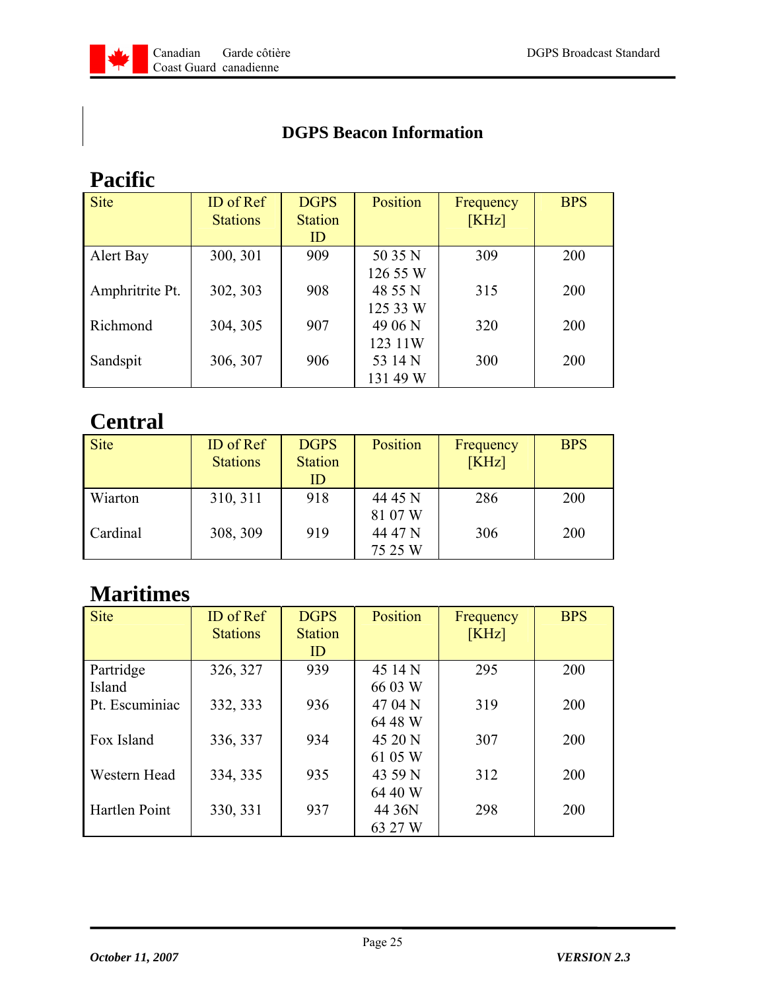## **DGPS Beacon Information**

## **Pacific**

| <b>Site</b>     | ID of Ref<br><b>Stations</b> | <b>DGPS</b><br><b>Station</b><br>ID | Position                       | Frequency<br>[KHz] | <b>BPS</b> |
|-----------------|------------------------------|-------------------------------------|--------------------------------|--------------------|------------|
| Alert Bay       | 300, 301                     | 909                                 | 50 35 N<br>126 55 W            | 309                | 200        |
| Amphritrite Pt. | 302, 303                     | 908                                 | 48 55 N<br>125 33 W            | 315                | 200        |
| Richmond        | 304, 305                     | 907                                 | 49 06 N                        | 320                | 200        |
| Sandspit        | 306, 307                     | 906                                 | 123 11W<br>53 14 N<br>131 49 W | 300                | 200        |

## **Central**

| <b>Site</b> | ID of Ref<br><b>Stations</b> | <b>DGPS</b><br><b>Station</b><br>ID | Position | Frequency<br>[KHz] | <b>BPS</b> |
|-------------|------------------------------|-------------------------------------|----------|--------------------|------------|
| Wiarton     | 310, 311                     | 918                                 | 44 45 N  | 286                | 200        |
|             |                              |                                     | 81 07 W  |                    |            |
| Cardinal    | 308, 309                     | 919                                 | 44 47 N  | 306                | 200        |
|             |                              |                                     | 75 25 W  |                    |            |

## **Maritimes**

| <b>Site</b>    | ID of Ref<br><b>Stations</b> | <b>DGPS</b><br><b>Station</b><br>ID | Position | Frequency<br>[KHz] | <b>BPS</b> |
|----------------|------------------------------|-------------------------------------|----------|--------------------|------------|
| Partridge      | 326, 327                     | 939                                 | 45 14 N  | 295                | 200        |
| Island         |                              |                                     | 66 03 W  |                    |            |
| Pt. Escuminiac | 332, 333                     | 936                                 | 47 04 N  | 319                | 200        |
|                |                              |                                     | 64 48 W  |                    |            |
| Fox Island     | 336, 337                     | 934                                 | 45 20 N  | 307                | 200        |
|                |                              |                                     | 61 05 W  |                    |            |
| Western Head   | 334, 335                     | 935                                 | 43 59 N  | 312                | 200        |
|                |                              |                                     | 64 40 W  |                    |            |
| Hartlen Point  | 330, 331                     | 937                                 | 44 36N   | 298                | 200        |
|                |                              |                                     | 63 27 W  |                    |            |